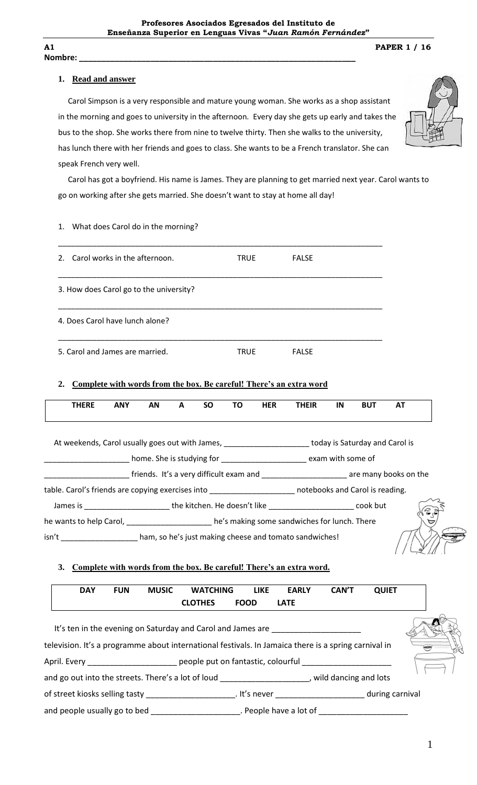**Nombre: \_\_\_\_\_\_\_\_\_\_\_\_\_\_\_\_\_\_\_\_\_\_\_\_\_\_\_\_\_\_\_\_\_\_\_\_\_\_\_\_\_\_\_\_\_\_\_\_\_\_\_\_\_\_\_\_\_\_\_\_\_\_**

**A1 PAPER 1 / 16**

## **1. Read and answer**

 Carol Simpson is a very responsible and mature young woman. She works as a shop assistant in the morning and goes to university in the afternoon. Every day she gets up early and takes the bus to the shop. She works there from nine to twelve thirty. Then she walks to the university, has lunch there with her friends and goes to class. She wants to be a French translator. She can speak French very well.



 Carol has got a boyfriend. His name is James. They are planning to get married next year. Carol wants to go on working after she gets married. She doesn't want to stay at home all day!

1. What does Carol do in the morning?

| Carol works in the afternoon.<br>$2_{-}$                                                                                  |           |  |              |           | <b>TRUE</b> |            | <b>FALSE</b> |    |            |           |  |
|---------------------------------------------------------------------------------------------------------------------------|-----------|--|--------------|-----------|-------------|------------|--------------|----|------------|-----------|--|
| 3. How does Carol go to the university?                                                                                   |           |  |              |           |             |            |              |    |            |           |  |
| 4. Does Carol have lunch alone?                                                                                           |           |  |              |           |             |            |              |    |            |           |  |
| 5. Carol and James are married.                                                                                           |           |  |              |           | <b>TRUE</b> |            | <b>FALSE</b> |    |            |           |  |
| Complete with words from the box. Be careful! There's an extra word<br>2.<br><b>THERE</b><br><b>ANY</b>                   | <b>AN</b> |  | $\mathbf{A}$ | <b>SO</b> | <b>TO</b>   | <b>HER</b> | <b>THEIR</b> | IN | <b>BUT</b> | <b>AT</b> |  |
|                                                                                                                           |           |  |              |           |             |            |              |    |            |           |  |
| At weekends, Carol usually goes out with James, ______________________today is Saturday and Carol is                      |           |  |              |           |             |            |              |    |            |           |  |
| Lackson and Community Community Community Community Community Community Community Community Community Communit            |           |  |              |           |             |            |              |    |            |           |  |
| <b>_______________________</b> friends. It's a very difficult exam and <b>_____________________</b> are many books on the |           |  |              |           |             |            |              |    |            |           |  |
| table. Carol's friends are copying exercises into ______________________ notebooks and Carol is reading.                  |           |  |              |           |             |            |              |    |            |           |  |
| James is ___________________________the kitchen. He doesn't like __________________________cook but                       |           |  |              |           |             |            |              |    |            |           |  |
| he wants to help Carol, ______________________ he's making some sandwiches for lunch. There                               |           |  |              |           |             |            |              |    |            |           |  |
| isn't ____________________ham, so he's just making cheese and tomato sandwiches!                                          |           |  |              |           |             |            |              |    |            |           |  |

## **3. Complete with words from the box. Be careful! There's an extra word.**

| <b>MUSIC</b><br><b>DAY</b><br><b>FUN</b>                                                                                                           | <b>WATCHING</b> | <b>LIKE</b> | <b>EARLY</b>           | <b>CAN'T</b> | <b>QUIET</b> |  |
|----------------------------------------------------------------------------------------------------------------------------------------------------|-----------------|-------------|------------------------|--------------|--------------|--|
|                                                                                                                                                    | <b>CLOTHES</b>  | <b>FOOD</b> | <b>LATE</b>            |              |              |  |
|                                                                                                                                                    |                 |             |                        |              |              |  |
| It's ten in the evening on Saturday and Carol and James are                                                                                        |                 |             |                        |              |              |  |
| television. It's a programme about international festivals. In Jamaica there is a spring carnival in                                               |                 |             |                        |              |              |  |
| April. Every ________________________ people put on fantastic, colourful __________________________                                                |                 |             |                        |              |              |  |
| and go out into the streets. There's a lot of loud state of the streets of the streets and lots and go out into the streets. There's a lot of loud |                 |             |                        |              |              |  |
|                                                                                                                                                    |                 |             |                        |              |              |  |
| and people usually go to bed                                                                                                                       |                 |             | . People have a lot of |              |              |  |